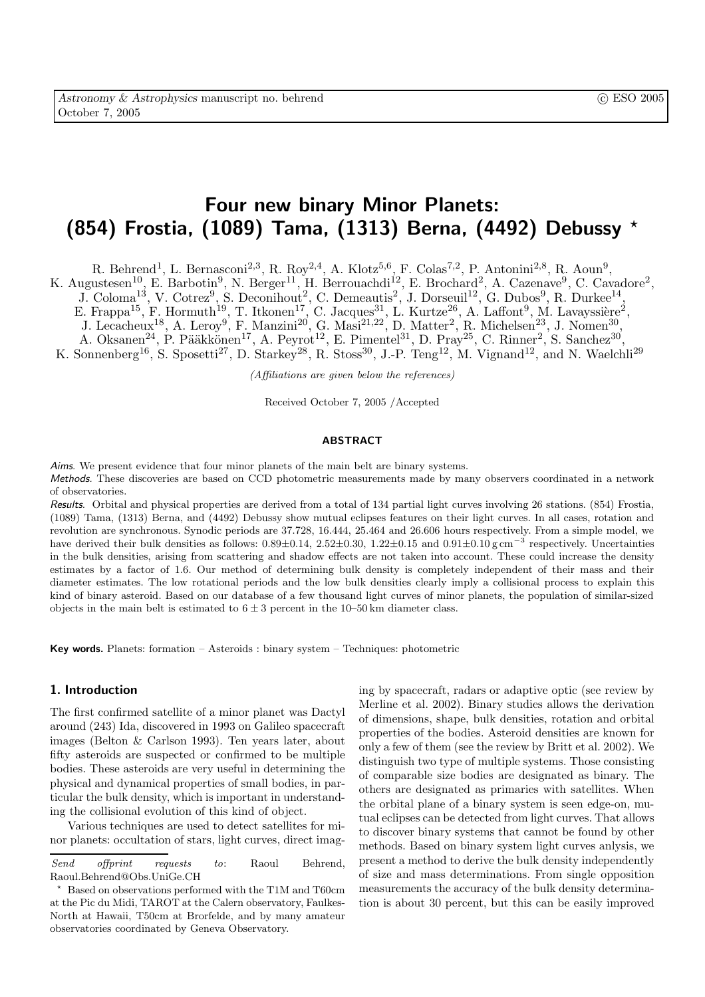# Four new binary Minor Planets: (854) Frostia, (1089) Tama, (1313) Berna, (4492) Debussy ?

R. Behrend<sup>1</sup>, L. Bernasconi<sup>2,3</sup>, R. Roy<sup>2,4</sup>, A. Klotz<sup>5,6</sup>, F. Colas<sup>7,2</sup>, P. Antonini<sup>2,8</sup>, R. Aoun<sup>9</sup>,

K. Augustesen<sup>10</sup>, E. Barbotin<sup>9</sup>, N. Berger<sup>11</sup>, H. Berrouachdi<sup>12</sup>, E. Brochard<sup>2</sup>, A. Cazenave<sup>9</sup>, C. Cavadore<sup>2</sup>,

 $J. Coloma<sup>13</sup>, V. Cotrez<sup>9</sup>, S. Deconihout<sup>2</sup>, C. Demeautis<sup>2</sup>, J. Dorseuil<sup>12</sup>, G. Dubos<sup>9</sup>, R. Durkee<sup>14</sup>,$ 

E. Frappa<sup>15</sup>, F. Hormuth<sup>19</sup>, T. Itkonen<sup>17</sup>, C. Jacques<sup>31</sup>, L. Kurtze<sup>26</sup>, A. Laffont<sup>9</sup>, M. Lavayssière<sup>2</sup>,

J. Lecacheux<sup>18</sup>, A. Leroy<sup>9</sup>, F. Manzini<sup>20</sup>, G. Masi<sup>21,22</sup>, D. Matter<sup>2</sup>, R. Michelsen<sup>23</sup>, J. Nomen<sup>30</sup>,

A. Oksanen<sup>24</sup>, P. Pääkkönen<sup>17</sup>, A. Peyrot<sup>12</sup>, E. Pimentel<sup>31</sup>, D. Pray<sup>25</sup>, C. Rinner<sup>2</sup>, S. Sanchez<sup>30</sup>,

K. Sonnenberg<sup>16</sup>, S. Sposetti<sup>27</sup>, D. Starkey<sup>28</sup>, R. Stoss<sup>30</sup>, J.-P. Teng<sup>12</sup>, M. Vignand<sup>12</sup>, and N. Waelchli<sup>29</sup>

(Affiliations are given below the references)

Received October 7, 2005 /Accepted

#### ABSTRACT

Aims. We present evidence that four minor planets of the main belt are binary systems. Methods. These discoveries are based on CCD photometric measurements made by many observers coordinated in a network of observatories.

Results. Orbital and physical properties are derived from a total of 134 partial light curves involving 26 stations. (854) Frostia, (1089) Tama, (1313) Berna, and (4492) Debussy show mutual eclipses features on their light curves. In all cases, rotation and revolution are synchronous. Synodic periods are 37.728, 16.444, 25.464 and 26.606 hours respectively. From a simple model, we have derived their bulk densities as follows:  $0.89 \pm 0.14$ ,  $2.52 \pm 0.30$ ,  $1.22 \pm 0.15$  and  $0.91 \pm 0.10$  g cm<sup>-3</sup> respectively. Uncertainties in the bulk densities, arising from scattering and shadow effects are not taken into account. These could increase the density estimates by a factor of 1.6. Our method of determining bulk density is completely independent of their mass and their diameter estimates. The low rotational periods and the low bulk densities clearly imply a collisional process to explain this kind of binary asteroid. Based on our database of a few thousand light curves of minor planets, the population of similar-sized objects in the main belt is estimated to  $6 \pm 3$  percent in the 10–50 km diameter class.

**Key words.** Planets: formation – Asteroids : binary system – Techniques: photometric

## 1. Introduction

The first confirmed satellite of a minor planet was Dactyl around (243) Ida, discovered in 1993 on Galileo spacecraft images (Belton & Carlson 1993). Ten years later, about fifty asteroids are suspected or confirmed to be multiple bodies. These asteroids are very useful in determining the physical and dynamical properties of small bodies, in particular the bulk density, which is important in understanding the collisional evolution of this kind of object.

Various techniques are used to detect satellites for minor planets: occultation of stars, light curves, direct imaging by spacecraft, radars or adaptive optic (see review by Merline et al. 2002). Binary studies allows the derivation of dimensions, shape, bulk densities, rotation and orbital properties of the bodies. Asteroid densities are known for only a few of them (see the review by Britt et al. 2002). We distinguish two type of multiple systems. Those consisting of comparable size bodies are designated as binary. The others are designated as primaries with satellites. When the orbital plane of a binary system is seen edge-on, mutual eclipses can be detected from light curves. That allows to discover binary systems that cannot be found by other methods. Based on binary system light curves anlysis, we present a method to derive the bulk density independently of size and mass determinations. From single opposition measurements the accuracy of the bulk density determination is about 30 percent, but this can be easily improved

Send offprint requests to: Raoul Behrend, Raoul.Behrend@Obs.UniGe.CH

<sup>?</sup> Based on observations performed with the T1M and T60cm at the Pic du Midi, TAROT at the Calern observatory, Faulkes-North at Hawaii, T50cm at Brorfelde, and by many amateur observatories coordinated by Geneva Observatory.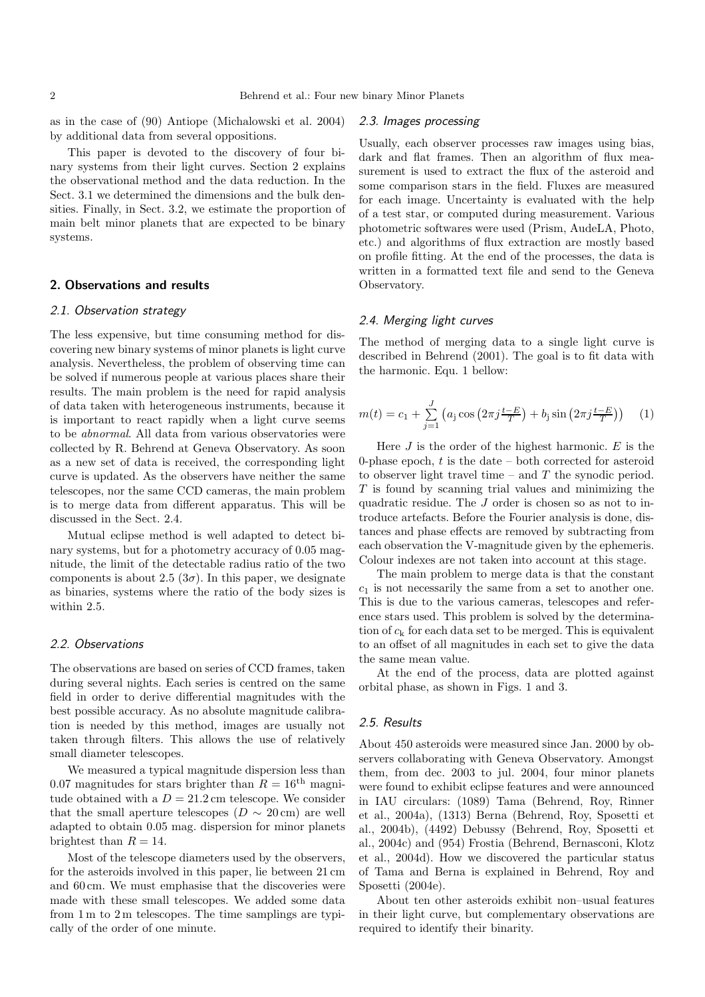as in the case of (90) Antiope (Michalowski et al. 2004) by additional data from several oppositions.

This paper is devoted to the discovery of four binary systems from their light curves. Section 2 explains the observational method and the data reduction. In the Sect. 3.1 we determined the dimensions and the bulk densities. Finally, in Sect. 3.2, we estimate the proportion of main belt minor planets that are expected to be binary systems.

## 2. Observations and results

## 2.1. Observation strategy

The less expensive, but time consuming method for discovering new binary systems of minor planets is light curve analysis. Nevertheless, the problem of observing time can be solved if numerous people at various places share their results. The main problem is the need for rapid analysis of data taken with heterogeneous instruments, because it is important to react rapidly when a light curve seems to be abnormal. All data from various observatories were collected by R. Behrend at Geneva Observatory. As soon as a new set of data is received, the corresponding light curve is updated. As the observers have neither the same telescopes, nor the same CCD cameras, the main problem is to merge data from different apparatus. This will be discussed in the Sect. 2.4.

Mutual eclipse method is well adapted to detect binary systems, but for a photometry accuracy of 0.05 magnitude, the limit of the detectable radius ratio of the two components is about 2.5  $(3\sigma)$ . In this paper, we designate as binaries, systems where the ratio of the body sizes is within 2.5.

#### 2.2. Observations

The observations are based on series of CCD frames, taken during several nights. Each series is centred on the same field in order to derive differential magnitudes with the best possible accuracy. As no absolute magnitude calibration is needed by this method, images are usually not taken through filters. This allows the use of relatively small diameter telescopes.

We measured a typical magnitude dispersion less than 0.07 magnitudes for stars brighter than  $R = 16^{th}$  magnitude obtained with a  $D = 21.2$  cm telescope. We consider that the small aperture telescopes ( $D \sim 20$  cm) are well adapted to obtain 0.05 mag. dispersion for minor planets brightest than  $R = 14$ .

Most of the telescope diameters used by the observers, for the asteroids involved in this paper, lie between 21 cm and 60 cm. We must emphasise that the discoveries were made with these small telescopes. We added some data from 1 m to 2 m telescopes. The time samplings are typically of the order of one minute.

### 2.3. Images processing

Usually, each observer processes raw images using bias, dark and flat frames. Then an algorithm of flux measurement is used to extract the flux of the asteroid and some comparison stars in the field. Fluxes are measured for each image. Uncertainty is evaluated with the help of a test star, or computed during measurement. Various photometric softwares were used (Prism, AudeLA, Photo, etc.) and algorithms of flux extraction are mostly based on profile fitting. At the end of the processes, the data is written in a formatted text file and send to the Geneva Observatory.

## 2.4. Merging light curves

The method of merging data to a single light curve is described in Behrend (2001). The goal is to fit data with the harmonic. Equ. 1 bellow:

$$
m(t) = c_1 + \sum_{j=1}^{J} \left( a_j \cos \left( 2\pi j \frac{t - E}{T} \right) + b_j \sin \left( 2\pi j \frac{t - E}{T} \right) \right) \tag{1}
$$

Here  $J$  is the order of the highest harmonic.  $E$  is the 0-phase epoch,  $t$  is the date – both corrected for asteroid to observer light travel time – and  $T$  the synodic period.  $T$  is found by scanning trial values and minimizing the quadratic residue. The J order is chosen so as not to introduce artefacts. Before the Fourier analysis is done, distances and phase effects are removed by subtracting from each observation the V-magnitude given by the ephemeris. Colour indexes are not taken into account at this stage.

The main problem to merge data is that the constant  $c_1$  is not necessarily the same from a set to another one. This is due to the various cameras, telescopes and reference stars used. This problem is solved by the determination of  $c_k$  for each data set to be merged. This is equivalent to an offset of all magnitudes in each set to give the data the same mean value.

At the end of the process, data are plotted against orbital phase, as shown in Figs. 1 and 3.

## 2.5. Results

About 450 asteroids were measured since Jan. 2000 by observers collaborating with Geneva Observatory. Amongst them, from dec. 2003 to jul. 2004, four minor planets were found to exhibit eclipse features and were announced in IAU circulars: (1089) Tama (Behrend, Roy, Rinner et al., 2004a), (1313) Berna (Behrend, Roy, Sposetti et al., 2004b), (4492) Debussy (Behrend, Roy, Sposetti et al., 2004c) and (954) Frostia (Behrend, Bernasconi, Klotz et al., 2004d). How we discovered the particular status of Tama and Berna is explained in Behrend, Roy and Sposetti (2004e).

About ten other asteroids exhibit non–usual features in their light curve, but complementary observations are required to identify their binarity.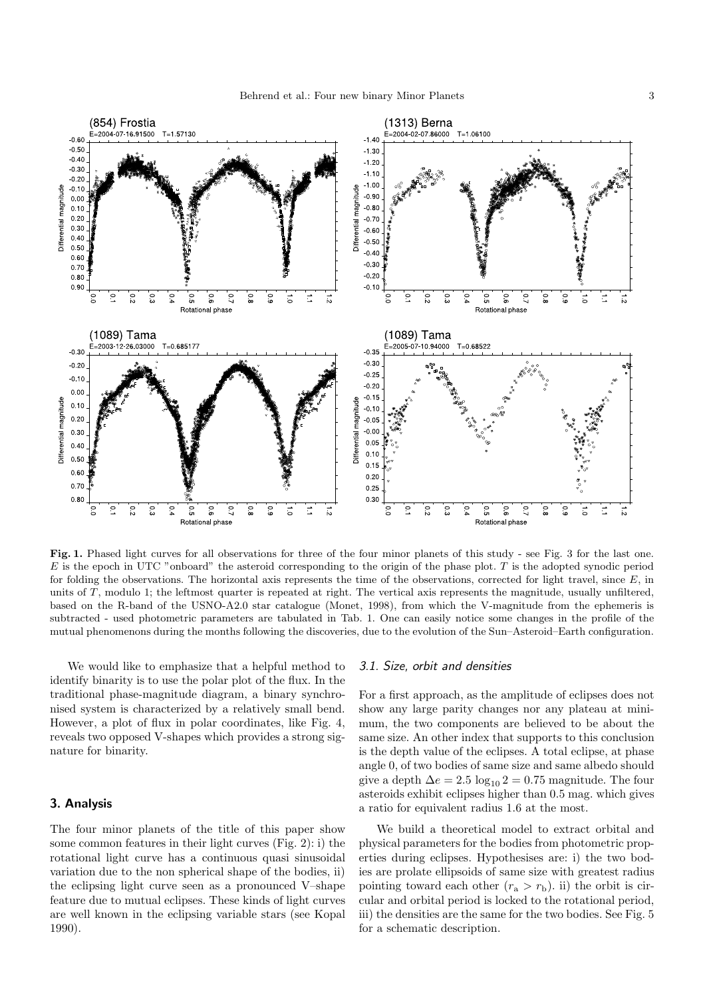

Fig. 1. Phased light curves for all observations for three of the four minor planets of this study - see Fig. 3 for the last one.  $E$  is the epoch in UTC "onboard" the asteroid corresponding to the origin of the phase plot. T is the adopted synodic period for folding the observations. The horizontal axis represents the time of the observations, corrected for light travel, since  $E$ , in units of T, modulo 1; the leftmost quarter is repeated at right. The vertical axis represents the magnitude, usually unfiltered, based on the R-band of the USNO-A2.0 star catalogue (Monet, 1998), from which the V-magnitude from the ephemeris is subtracted - used photometric parameters are tabulated in Tab. 1. One can easily notice some changes in the profile of the mutual phenomenons during the months following the discoveries, due to the evolution of the Sun–Asteroid–Earth configuration.

We would like to emphasize that a helpful method to identify binarity is to use the polar plot of the flux. In the traditional phase-magnitude diagram, a binary synchronised system is characterized by a relatively small bend. However, a plot of flux in polar coordinates, like Fig. 4, reveals two opposed V-shapes which provides a strong signature for binarity.

## 3. Analysis

The four minor planets of the title of this paper show some common features in their light curves (Fig. 2): i) the rotational light curve has a continuous quasi sinusoidal variation due to the non spherical shape of the bodies, ii) the eclipsing light curve seen as a pronounced V–shape feature due to mutual eclipses. These kinds of light curves are well known in the eclipsing variable stars (see Kopal 1990).

#### 3.1. Size, orbit and densities

For a first approach, as the amplitude of eclipses does not show any large parity changes nor any plateau at minimum, the two components are believed to be about the same size. An other index that supports to this conclusion is the depth value of the eclipses. A total eclipse, at phase angle 0, of two bodies of same size and same albedo should give a depth  $\Delta e = 2.5 \log_{10} 2 = 0.75$  magnitude. The four asteroids exhibit eclipses higher than 0.5 mag. which gives a ratio for equivalent radius 1.6 at the most.

We build a theoretical model to extract orbital and physical parameters for the bodies from photometric properties during eclipses. Hypothesises are: i) the two bodies are prolate ellipsoids of same size with greatest radius pointing toward each other  $(r_a > r_b)$ . ii) the orbit is circular and orbital period is locked to the rotational period, iii) the densities are the same for the two bodies. See Fig. 5 for a schematic description.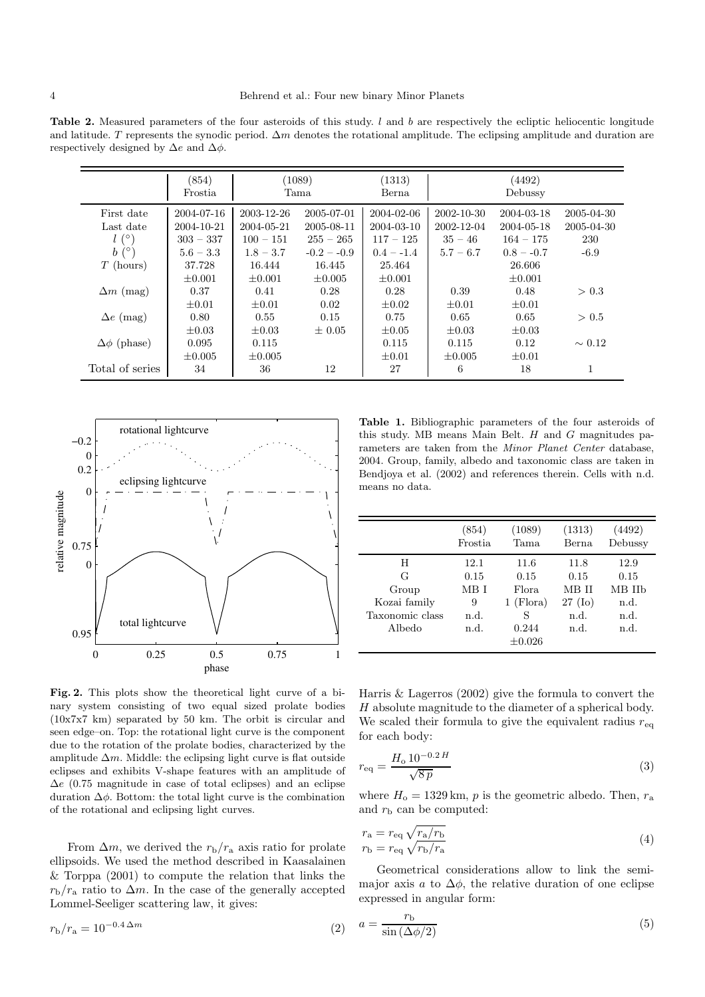Table 2. Measured parameters of the four asteroids of this study.  $l$  and  $b$  are respectively the ecliptic heliocentic longitude and latitude. T represents the synodic period.  $\Delta m$  denotes the rotational amplitude. The eclipsing amplitude and duration are respectively designed by  $\Delta e$  and  $\Delta \phi$ .

|                      | (854)<br>Frostia |             | (1089)<br>Tama | (1313)<br>Berna |             | (4492)<br>Debussy |             |
|----------------------|------------------|-------------|----------------|-----------------|-------------|-------------------|-------------|
| First date           | 2004-07-16       | 2003-12-26  | 2005-07-01     | 2004-02-06      | 2002-10-30  | 2004-03-18        | 2005-04-30  |
| Last date            | 2004-10-21       | 2004-05-21  | 2005-08-11     | 2004-03-10      | 2002-12-04  | 2004-05-18        | 2005-04-30  |
| $l(\circ)$           | $303 - 337$      | $100 - 151$ | $255 - 265$    | $117 - 125$     | $35 - 46$   | $164 - 175$       | 230         |
| $b(^{\circ})$        | $5.6 - 3.3$      | $1.8 - 3.7$ | $-0.2 - 0.9$   | $0.4 - -1.4$    | $5.7 - 6.7$ | $0.8 - -0.7$      | $-6.9$      |
| $T$ (hours)          | 37.728           | 16.444      | 16.445         | 25.464          |             | 26.606            |             |
|                      | $\pm 0.001$      | $\pm 0.001$ | $\pm 0.005$    | $\pm 0.001$     |             | $\pm 0.001$       |             |
| $\Delta m$ (mag)     | 0.37             | 0.41        | 0.28           | 0.28            | 0.39        | 0.48              | > 0.3       |
|                      | $\pm 0.01$       | $\pm 0.01$  | 0.02           | $\pm 0.02$      | $\pm 0.01$  | $\pm 0.01$        |             |
| $\Delta e$ (mag)     | 0.80             | 0.55        | 0.15           | 0.75            | 0.65        | 0.65              | > 0.5       |
|                      | $\pm 0.03$       | $\pm 0.03$  | $\pm 0.05$     | $\pm 0.05$      | $\pm 0.03$  | $\pm 0.03$        |             |
| $\Delta\phi$ (phase) | 0.095            | 0.115       |                | 0.115           | 0.115       | 0.12              | $\sim 0.12$ |
|                      | $+0.005$         | $\pm 0.005$ |                | $+0.01$         | $\pm 0.005$ | $\pm 0.01$        |             |
| Total of series      | 34               | 36          | 12             | 27              | 6           | 18                | 1           |



Fig. 2. This plots show the theoretical light curve of a binary system consisting of two equal sized prolate bodies (10x7x7 km) separated by 50 km. The orbit is circular and seen edge–on. Top: the rotational light curve is the component due to the rotation of the prolate bodies, characterized by the amplitude  $\Delta m$ . Middle: the eclipsing light curve is flat outside eclipses and exhibits V-shape features with an amplitude of  $\Delta e$  (0.75 magnitude in case of total eclipses) and an eclipse duration  $\Delta \phi$ . Bottom: the total light curve is the combination of the rotational and eclipsing light curves.

From  $\Delta m$ , we derived the  $r_{\rm b}/r_{\rm a}$  axis ratio for prolate ellipsoids. We used the method described in Kaasalainen & Torppa (2001) to compute the relation that links the  $r_{\rm b}/r_{\rm a}$  ratio to  $\Delta m$ . In the case of the generally accepted Lommel-Seeliger scattering law, it gives:

$$
r_{\rm b}/r_{\rm a} = 10^{-0.4 \,\Delta m} \tag{2}
$$

Table 1. Bibliographic parameters of the four asteroids of this study. MB means Main Belt.  $H$  and  $G$  magnitudes parameters are taken from the Minor Planet Center database, 2004. Group, family, albedo and taxonomic class are taken in Bendjoya et al. (2002) and references therein. Cells with n.d. means no data.

|                 | (854)<br><b>Frostia</b> | (1089)<br>Tama | (1313)<br>Berna   | (4492)<br>Debussy |
|-----------------|-------------------------|----------------|-------------------|-------------------|
| H               | 12.1                    | 11.6           | 11.8              | 12.9              |
| G               | 0.15                    | 0.15           | 0.15              | 0.15              |
| Group           | MB I                    | Flora          | MB II             | MB IIb            |
| Kozai family    | 9                       | $1$ (Flora)    | $27 \text{ (Io)}$ | n.d.              |
| Taxonomic class | n.d.                    | S              | n.d.              | n.d.              |
| Albedo          | n.d.                    | 0.244          | n.d.              | n.d.              |
|                 |                         | $\pm 0.026$    |                   |                   |

Harris & Lagerros (2002) give the formula to convert the H absolute magnitude to the diameter of a spherical body. We scaled their formula to give the equivalent radius  $r_{eq}$ for each body:

$$
r_{\text{eq}} = \frac{H_0 10^{-0.2} H}{\sqrt{8 p}}
$$
\n(3)

where  $H_0 = 1329 \text{ km}$ , p is the geometric albedo. Then,  $r_a$ and  $r<sub>b</sub>$  can be computed:

$$
r_{\rm a} = r_{\rm eq} \sqrt{r_{\rm a}/r_{\rm b}}
$$
  
\n
$$
r_{\rm b} = r_{\rm eq} \sqrt{r_{\rm b}/r_{\rm a}}
$$
\n(4)

Geometrical considerations allow to link the semimajor axis a to  $\Delta\phi$ , the relative duration of one eclipse expressed in angular form:

$$
a = \frac{r_{\rm b}}{\sin\left(\Delta\phi/2\right)}\tag{5}
$$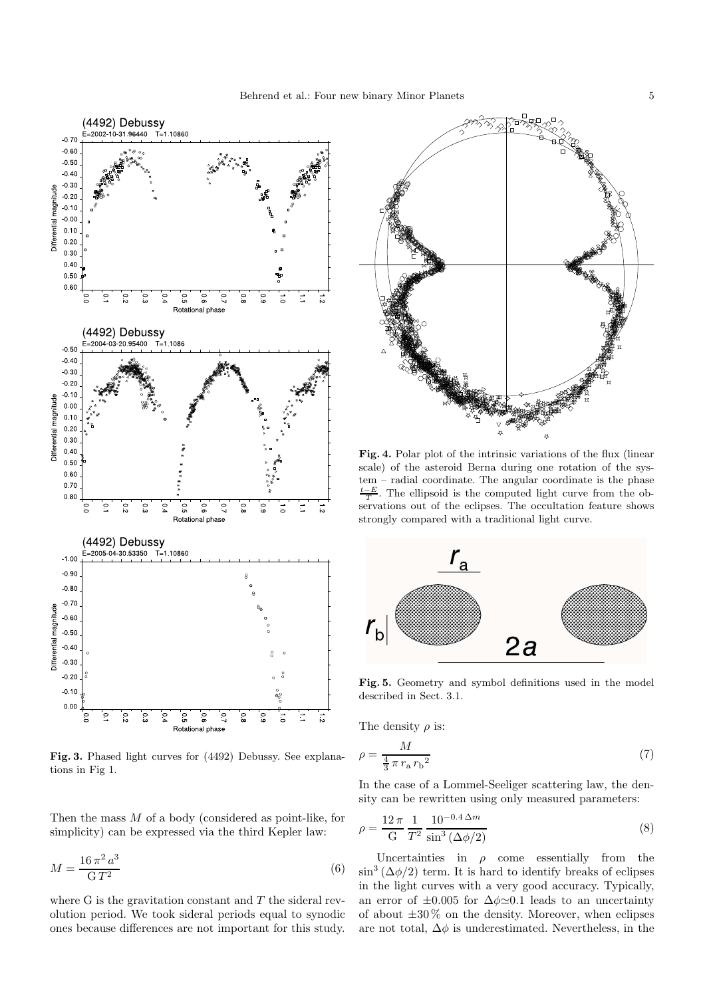

Fig. 3. Phased light curves for (4492) Debussy. See explanations in Fig 1.

Then the mass M of a body (considered as point-like, for simplicity) can be expressed via the third Kepler law:

$$
M = \frac{16\,\pi^2\,a^3}{\mathrm{G}\,T^2} \tag{6}
$$

where G is the gravitation constant and  $T$  the sideral revolution period. We took sideral periods equal to synodic ones because differences are not important for this study.



Fig. 4. Polar plot of the intrinsic variations of the flux (linear scale) of the asteroid Berna during one rotation of the system – radial coordinate. The angular coordinate is the phase  $\frac{t-E}{T}$ . The ellipsoid is the computed light curve from the observations out of the eclipses. The occultation feature shows strongly compared with a traditional light curve.



Fig. 5. Geometry and symbol definitions used in the model described in Sect. 3.1.

The density  $\rho$  is:

$$
\rho = \frac{M}{\frac{4}{3}\pi r_a r_b^2} \tag{7}
$$

In the case of a Lommel-Seeliger scattering law, the density can be rewritten using only measured parameters:

$$
\rho = \frac{12\,\pi}{G} \frac{1}{T^2} \frac{10^{-0.4\,\Delta m}}{\sin^3\left(\Delta\phi/2\right)}\tag{8}
$$

Uncertainties in  $\rho$  come essentially from the  $\sin^3(\Delta\phi/2)$  term. It is hard to identify breaks of eclipses in the light curves with a very good accuracy. Typically, an error of  $\pm 0.005$  for  $\Delta \phi \approx 0.1$  leads to an uncertainty of about  $\pm 30\%$  on the density. Moreover, when eclipses are not total,  $\Delta \phi$  is underestimated. Nevertheless, in the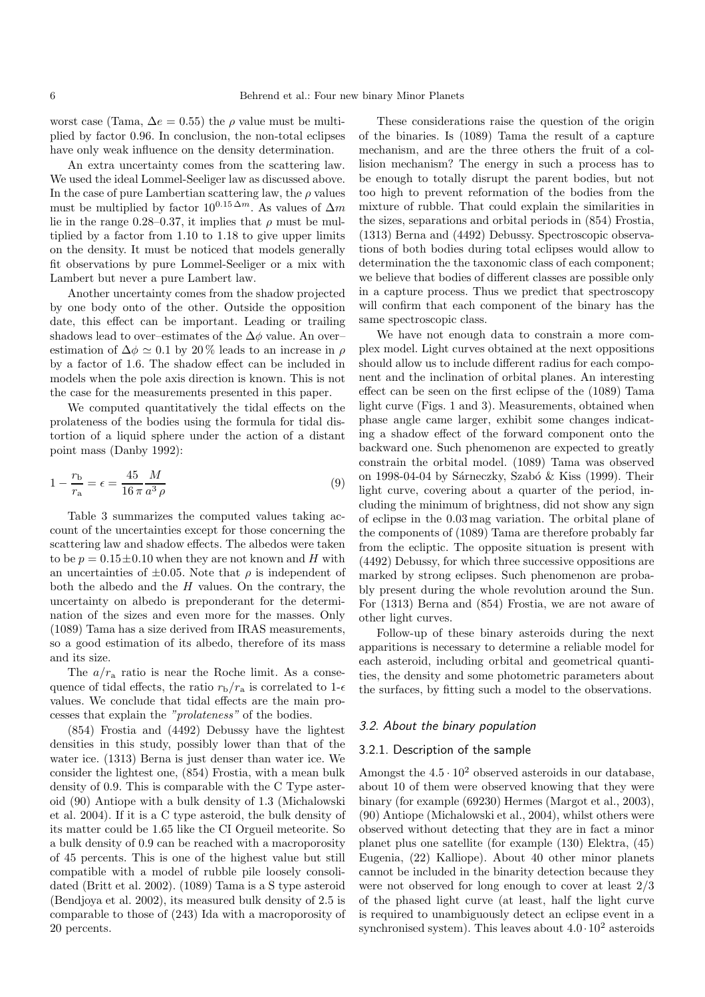worst case (Tama,  $\Delta e = 0.55$ ) the  $\rho$  value must be multiplied by factor 0.96. In conclusion, the non-total eclipses have only weak influence on the density determination.

An extra uncertainty comes from the scattering law. We used the ideal Lommel-Seeliger law as discussed above. In the case of pure Lambertian scattering law, the  $\rho$  values must be multiplied by factor  $10^{0.15 \Delta m}$ . As values of  $\Delta m$ lie in the range 0.28–0.37, it implies that  $\rho$  must be multiplied by a factor from 1.10 to 1.18 to give upper limits on the density. It must be noticed that models generally fit observations by pure Lommel-Seeliger or a mix with Lambert but never a pure Lambert law.

Another uncertainty comes from the shadow projected by one body onto of the other. Outside the opposition date, this effect can be important. Leading or trailing shadows lead to over–estimates of the  $\Delta\phi$  value. An over– estimation of  $\Delta \phi \simeq 0.1$  by 20% leads to an increase in  $\rho$ by a factor of 1.6. The shadow effect can be included in models when the pole axis direction is known. This is not the case for the measurements presented in this paper.

We computed quantitatively the tidal effects on the prolateness of the bodies using the formula for tidal distortion of a liquid sphere under the action of a distant point mass (Danby 1992):

$$
1 - \frac{r_{\rm b}}{r_{\rm a}} = \epsilon = \frac{45}{16 \pi} \frac{M}{a^3 \rho} \tag{9}
$$

Table 3 summarizes the computed values taking account of the uncertainties except for those concerning the scattering law and shadow effects. The albedos were taken to be  $p = 0.15 \pm 0.10$  when they are not known and H with an uncertainties of  $\pm 0.05$ . Note that  $\rho$  is independent of both the albedo and the  $H$  values. On the contrary, the uncertainty on albedo is preponderant for the determination of the sizes and even more for the masses. Only (1089) Tama has a size derived from IRAS measurements, so a good estimation of its albedo, therefore of its mass and its size.

The  $a/r_a$  ratio is near the Roche limit. As a consequence of tidal effects, the ratio  $r_{\rm b}/r_{\rm a}$  is correlated to 1- $\epsilon$ values. We conclude that tidal effects are the main processes that explain the "prolateness" of the bodies.

(854) Frostia and (4492) Debussy have the lightest densities in this study, possibly lower than that of the water ice. (1313) Berna is just denser than water ice. We consider the lightest one, (854) Frostia, with a mean bulk density of 0.9. This is comparable with the C Type asteroid (90) Antiope with a bulk density of 1.3 (Michalowski et al. 2004). If it is a C type asteroid, the bulk density of its matter could be 1.65 like the CI Orgueil meteorite. So a bulk density of 0.9 can be reached with a macroporosity of 45 percents. This is one of the highest value but still compatible with a model of rubble pile loosely consolidated (Britt et al. 2002). (1089) Tama is a S type asteroid (Bendjoya et al. 2002), its measured bulk density of 2.5 is comparable to those of (243) Ida with a macroporosity of 20 percents.

These considerations raise the question of the origin of the binaries. Is (1089) Tama the result of a capture mechanism, and are the three others the fruit of a collision mechanism? The energy in such a process has to be enough to totally disrupt the parent bodies, but not too high to prevent reformation of the bodies from the mixture of rubble. That could explain the similarities in the sizes, separations and orbital periods in (854) Frostia, (1313) Berna and (4492) Debussy. Spectroscopic observations of both bodies during total eclipses would allow to determination the the taxonomic class of each component; we believe that bodies of different classes are possible only in a capture process. Thus we predict that spectroscopy will confirm that each component of the binary has the same spectroscopic class.

We have not enough data to constrain a more complex model. Light curves obtained at the next oppositions should allow us to include different radius for each component and the inclination of orbital planes. An interesting effect can be seen on the first eclipse of the (1089) Tama light curve (Figs. 1 and 3). Measurements, obtained when phase angle came larger, exhibit some changes indicating a shadow effect of the forward component onto the backward one. Such phenomenon are expected to greatly constrain the orbital model. (1089) Tama was observed on 1998-04-04 by Sárneczky, Szabó & Kiss (1999). Their light curve, covering about a quarter of the period, including the minimum of brightness, did not show any sign of eclipse in the 0.03 mag variation. The orbital plane of the components of (1089) Tama are therefore probably far from the ecliptic. The opposite situation is present with (4492) Debussy, for which three successive oppositions are marked by strong eclipses. Such phenomenon are probably present during the whole revolution around the Sun. For (1313) Berna and (854) Frostia, we are not aware of other light curves.

Follow-up of these binary asteroids during the next apparitions is necessary to determine a reliable model for each asteroid, including orbital and geometrical quantities, the density and some photometric parameters about the surfaces, by fitting such a model to the observations.

#### 3.2. About the binary population

### 3.2.1. Description of the sample

Amongst the  $4.5 \cdot 10^2$  observed asteroids in our database, about 10 of them were observed knowing that they were binary (for example (69230) Hermes (Margot et al., 2003), (90) Antiope (Michalowski et al., 2004), whilst others were observed without detecting that they are in fact a minor planet plus one satellite (for example (130) Elektra, (45) Eugenia, (22) Kalliope). About 40 other minor planets cannot be included in the binarity detection because they were not observed for long enough to cover at least 2/3 of the phased light curve (at least, half the light curve is required to unambiguously detect an eclipse event in a synchronised system). This leaves about  $4.0 \cdot 10^2$  asteroids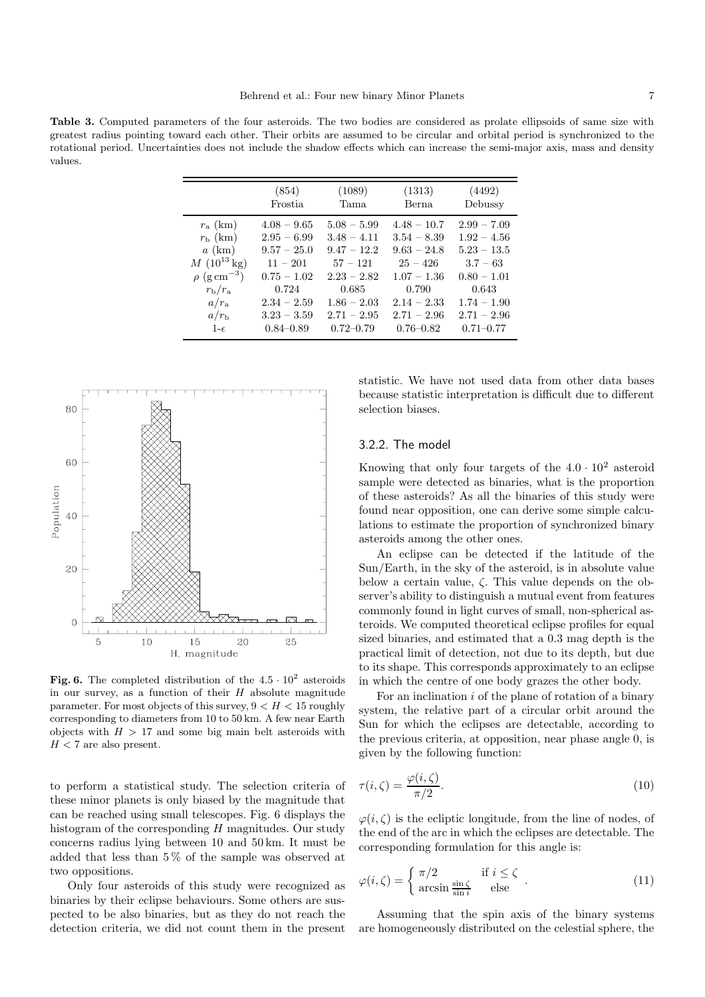Table 3. Computed parameters of the four asteroids. The two bodies are considered as prolate ellipsoids of same size with greatest radius pointing toward each other. Their orbits are assumed to be circular and orbital period is synchronized to the rotational period. Uncertainties does not include the shadow effects which can increase the semi-major axis, mass and density values.

|                              | (854)          | (1089)        | (1313)        | (4492)        |
|------------------------------|----------------|---------------|---------------|---------------|
|                              | <b>Frostia</b> | Tama          | Berna         | Debussy       |
| $r_{\rm a}$ (km)             | $4.08 - 9.65$  | $5.08 - 5.99$ | $4.48 - 10.7$ | $2.99 - 7.09$ |
| $r_{\rm b}$ (km)             | $2.95 - 6.99$  | $3.48 - 4.11$ | $3.54 - 8.39$ | $1.92 - 4.56$ |
| $a$ (km)                     | $9.57 - 25.0$  | $9.47 - 12.2$ | $9.63 - 24.8$ | $5.23 - 13.5$ |
| $M(10^{13} \text{ kg})$      | $11 - 201$     | $57 - 121$    | $25 - 426$    | $3.7 - 63$    |
| $\rho$ (g cm <sup>-3</sup> ) | $0.75 - 1.02$  | $2.23 - 2.82$ | $1.07 - 1.36$ | $0.80 - 1.01$ |
| $r_{\rm b}/r_{\rm a}$        | 0.724          | 0.685         | 0.790         | 0.643         |
| $a/r_a$                      | $2.34 - 2.59$  | $1.86 - 2.03$ | $2.14 - 2.33$ | $1.74 - 1.90$ |
| $a/r_{\rm b}$                | $3.23 - 3.59$  | $2.71 - 2.95$ | $2.71 - 2.96$ | $2.71 - 2.96$ |
| $1-\epsilon$                 | $0.84 - 0.89$  | $0.72 - 0.79$ | $0.76 - 0.82$ | $0.71 - 0.77$ |



Fig. 6. The completed distribution of the  $4.5 \cdot 10^2$  asteroids in our survey, as a function of their  $H$  absolute magnitude parameter. For most objects of this survey,  $9 < H < 15$  roughly corresponding to diameters from 10 to 50 km. A few near Earth objects with  $H > 17$  and some big main belt asteroids with  $H < 7$  are also present.

to perform a statistical study. The selection criteria of these minor planets is only biased by the magnitude that can be reached using small telescopes. Fig. 6 displays the histogram of the corresponding  $H$  magnitudes. Our study concerns radius lying between 10 and 50 km. It must be added that less than 5 % of the sample was observed at two oppositions.

Only four asteroids of this study were recognized as binaries by their eclipse behaviours. Some others are suspected to be also binaries, but as they do not reach the detection criteria, we did not count them in the present statistic. We have not used data from other data bases because statistic interpretation is difficult due to different selection biases.

## 3.2.2. The model

Knowing that only four targets of the  $4.0 \cdot 10^2$  asteroid sample were detected as binaries, what is the proportion of these asteroids? As all the binaries of this study were found near opposition, one can derive some simple calculations to estimate the proportion of synchronized binary asteroids among the other ones.

An eclipse can be detected if the latitude of the Sun/Earth, in the sky of the asteroid, is in absolute value below a certain value,  $\zeta$ . This value depends on the observer's ability to distinguish a mutual event from features commonly found in light curves of small, non-spherical asteroids. We computed theoretical eclipse profiles for equal sized binaries, and estimated that a 0.3 mag depth is the practical limit of detection, not due to its depth, but due to its shape. This corresponds approximately to an eclipse in which the centre of one body grazes the other body.

For an inclination i of the plane of rotation of a binary system, the relative part of a circular orbit around the Sun for which the eclipses are detectable, according to the previous criteria, at opposition, near phase angle 0, is given by the following function:

$$
\tau(i,\zeta) = \frac{\varphi(i,\zeta)}{\pi/2}.\tag{10}
$$

 $\varphi(i,\zeta)$  is the ecliptic longitude, from the line of nodes, of the end of the arc in which the eclipses are detectable. The corresponding formulation for this angle is:

$$
\varphi(i,\zeta) = \begin{cases} \pi/2 & \text{if } i \le \zeta \\ \arcsin \frac{\sin \zeta}{\sin i} & \text{else} \end{cases} .
$$
 (11)

Assuming that the spin axis of the binary systems are homogeneously distributed on the celestial sphere, the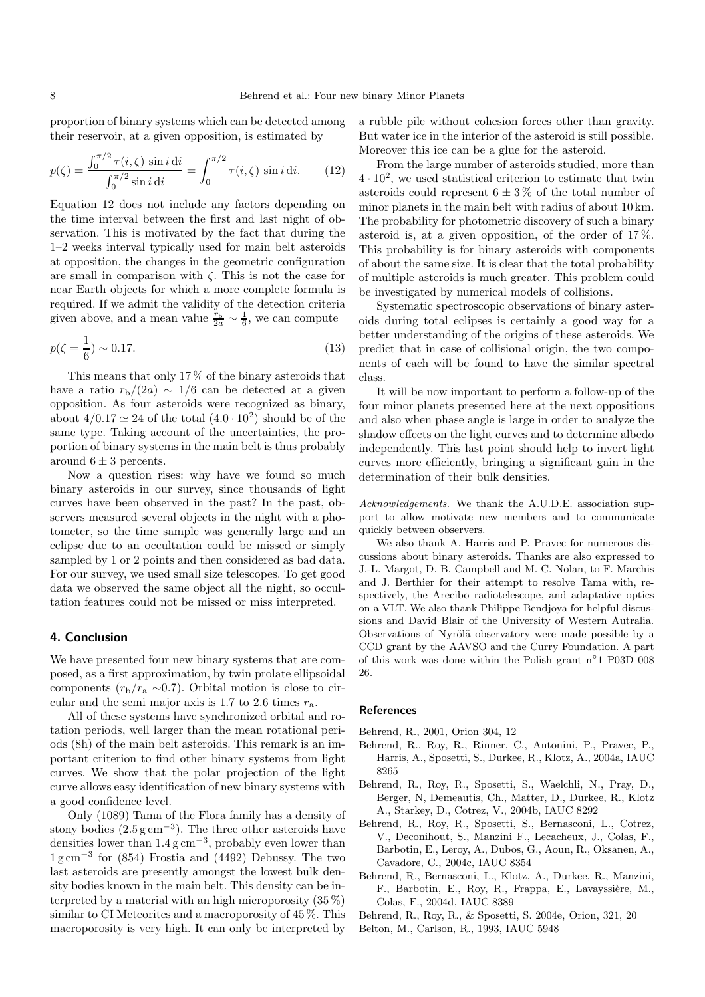proportion of binary systems which can be detected among their reservoir, at a given opposition, is estimated by

$$
p(\zeta) = \frac{\int_0^{\pi/2} \tau(i, \zeta) \sin i \, \mathrm{d}i}{\int_0^{\pi/2} \sin i \, \mathrm{d}i} = \int_0^{\pi/2} \tau(i, \zeta) \sin i \, \mathrm{d}i. \tag{12}
$$

Equation 12 does not include any factors depending on the time interval between the first and last night of observation. This is motivated by the fact that during the 1–2 weeks interval typically used for main belt asteroids at opposition, the changes in the geometric configuration are small in comparison with  $\zeta$ . This is not the case for near Earth objects for which a more complete formula is required. If we admit the validity of the detection criteria given above, and a mean value  $\frac{r_b}{2a} \sim \frac{1}{6}$ , we can compute

$$
p(\zeta = \frac{1}{6}) \sim 0.17. \tag{13}
$$

This means that only 17 % of the binary asteroids that have a ratio  $r_{\rm b}/(2a) \sim 1/6$  can be detected at a given opposition. As four asteroids were recognized as binary, about  $4/0.17 \approx 24$  of the total  $(4.0 \cdot 10^2)$  should be of the same type. Taking account of the uncertainties, the proportion of binary systems in the main belt is thus probably around  $6 \pm 3$  percents.

Now a question rises: why have we found so much binary asteroids in our survey, since thousands of light curves have been observed in the past? In the past, observers measured several objects in the night with a photometer, so the time sample was generally large and an eclipse due to an occultation could be missed or simply sampled by 1 or 2 points and then considered as bad data. For our survey, we used small size telescopes. To get good data we observed the same object all the night, so occultation features could not be missed or miss interpreted.

## 4. Conclusion

We have presented four new binary systems that are composed, as a first approximation, by twin prolate ellipsoidal components  $(r_b/r_a \sim 0.7)$ . Orbital motion is close to circular and the semi major axis is 1.7 to 2.6 times  $r_a$ .

All of these systems have synchronized orbital and rotation periods, well larger than the mean rotational periods (8h) of the main belt asteroids. This remark is an important criterion to find other binary systems from light curves. We show that the polar projection of the light curve allows easy identification of new binary systems with a good confidence level.

Only (1089) Tama of the Flora family has a density of stony bodies  $(2.5 \text{ g cm}^{-3})$ . The three other asteroids have densities lower than  $1.4 \text{ g cm}^{-3}$ , probably even lower than 1 g cm<sup>−</sup><sup>3</sup> for (854) Frostia and (4492) Debussy. The two last asteroids are presently amongst the lowest bulk density bodies known in the main belt. This density can be interpreted by a material with an high microporosity  $(35\%)$ similar to CI Meteorites and a macroporosity of 45 %. This macroporosity is very high. It can only be interpreted by

a rubble pile without cohesion forces other than gravity. But water ice in the interior of the asteroid is still possible. Moreover this ice can be a glue for the asteroid.

From the large number of asteroids studied, more than  $4 \cdot 10^2$ , we used statistical criterion to estimate that twin asteroids could represent  $6 \pm 3\%$  of the total number of minor planets in the main belt with radius of about 10 km. The probability for photometric discovery of such a binary asteroid is, at a given opposition, of the order of  $17\%$ . This probability is for binary asteroids with components of about the same size. It is clear that the total probability of multiple asteroids is much greater. This problem could be investigated by numerical models of collisions.

Systematic spectroscopic observations of binary asteroids during total eclipses is certainly a good way for a better understanding of the origins of these asteroids. We predict that in case of collisional origin, the two components of each will be found to have the similar spectral class.

It will be now important to perform a follow-up of the four minor planets presented here at the next oppositions and also when phase angle is large in order to analyze the shadow effects on the light curves and to determine albedo independently. This last point should help to invert light curves more efficiently, bringing a significant gain in the determination of their bulk densities.

Acknowledgements. We thank the A.U.D.E. association support to allow motivate new members and to communicate quickly between observers.

We also thank A. Harris and P. Pravec for numerous discussions about binary asteroids. Thanks are also expressed to J.-L. Margot, D. B. Campbell and M. C. Nolan, to F. Marchis and J. Berthier for their attempt to resolve Tama with, respectively, the Arecibo radiotelescope, and adaptative optics on a VLT. We also thank Philippe Bendjoya for helpful discussions and David Blair of the University of Western Autralia. Observations of Nyrölä observatory were made possible by a CCD grant by the AAVSO and the Curry Foundation. A part of this work was done within the Polish grant n ◦ 1 P03D 008 26.

### References

- Behrend, R., 2001, Orion 304, 12
- Behrend, R., Roy, R., Rinner, C., Antonini, P., Pravec, P., Harris, A., Sposetti, S., Durkee, R., Klotz, A., 2004a, IAUC 8265
- Behrend, R., Roy, R., Sposetti, S., Waelchli, N., Pray, D., Berger, N, Demeautis, Ch., Matter, D., Durkee, R., Klotz A., Starkey, D., Cotrez, V., 2004b, IAUC 8292
- Behrend, R., Roy, R., Sposetti, S., Bernasconi, L., Cotrez, V., Deconihout, S., Manzini F., Lecacheux, J., Colas, F., Barbotin, E., Leroy, A., Dubos, G., Aoun, R., Oksanen, A., Cavadore, C., 2004c, IAUC 8354
- Behrend, R., Bernasconi, L., Klotz, A., Durkee, R., Manzini, F., Barbotin, E., Roy, R., Frappa, E., Lavayssière, M., Colas, F., 2004d, IAUC 8389

Belton, M., Carlson, R., 1993, IAUC 5948

Behrend, R., Roy, R., & Sposetti, S. 2004e, Orion, 321, 20